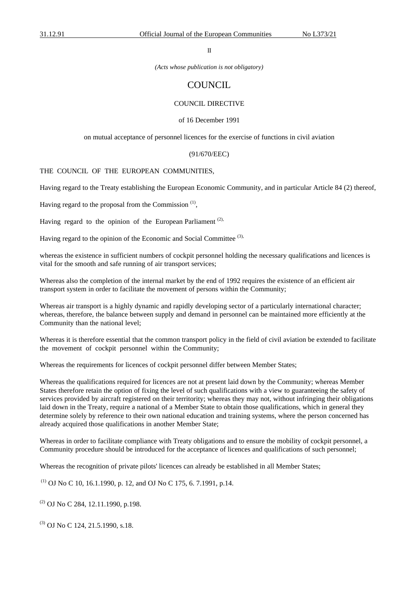II

*(Acts whose publication is not obligatory)*

# **COUNCIL**

# COUNCIL DIRECTIVE

#### of 16 December 1991

on mutual acceptance of personnel licences for the exercise of functions in civil aviation

#### (91/670/EEC)

#### THE COUNCIL OF THE EUROPEAN COMMUNITIES,

Having regard to the Treaty establishing the European Economic Community, and in particular Article 84 (2) thereof,

Having regard to the proposal from the Commission  $(1)$ ,

Having regard to the opinion of the European Parliament<sup> $(2)$ </sup>,

Having regard to the opinion of the Economic and Social Committee <sup>(3),</sup>

whereas the existence in sufficient numbers of cockpit personnel holding the necessary qualifications and licences is vital for the smooth and safe running of air transport services;

Whereas also the completion of the internal market by the end of 1992 requires the existence of an efficient air transport system in order to facilitate the movement of persons within the Community;

Whereas air transport is a highly dynamic and rapidly developing sector of a particularly international character; whereas, therefore, the balance between supply and demand in personnel can be maintained more efficiently at the Community than the national level;

Whereas it is therefore essential that the common transport policy in the field of civil aviation be extended to facilitate the movement of cockpit personnel within the Community;

Whereas the requirements for licences of cockpit personnel differ between Member States;

Whereas the qualifications required for licences are not at present laid down by the Community; whereas Member States therefore retain the option of fixing the level of such qualifications with a view to guaranteeing the safety of services provided by aircraft registered on their territority; whereas they may not, without infringing their obligations laid down in the Treaty, require a national of a Member State to obtain those qualifications, which in general they determine solely by reference to their own national education and training systems, where the person concerned has already acquired those qualifications in another Member State;

Whereas in order to facilitate compliance with Treaty obligations and to ensure the mobility of cockpit personnel, a Community procedure should be introduced for the acceptance of licences and qualifications of such personnel;

Whereas the recognition of private pilots' licences can already be established in all Member States;

 $(1)$  OJ No C 10, 16.1.1990, p. 12, and OJ No C 175, 6. 7.1991, p.14.

 $(2)$  OJ No C 284, 12.11.1990, p.198.

 $^{(3)}$  OJ No C 124, 21.5.1990, s.18.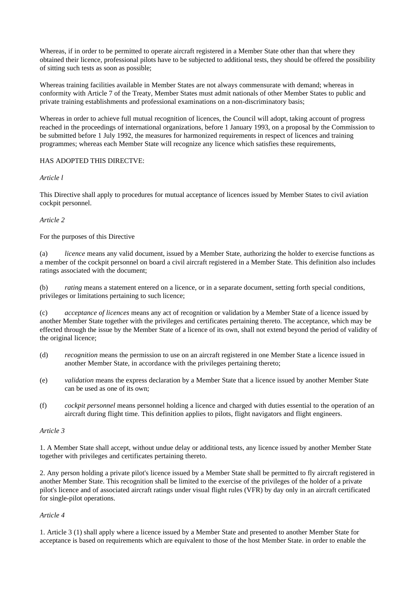Whereas, if in order to be permitted to operate aircraft registered in a Member State other than that where they obtained their licence, professional pilots have to be subjected to additional tests, they should be offered the possibility of sitting such tests as soon as possible;

Whereas training facilities available in Member States are not always commensurate with demand; whereas in conformity with Article 7 of the Treaty, Member States must admit nationals of other Member States to public and private training establishments and professional examinations on a non-discriminatory basis;

Whereas in order to achieve full mutual recognition of licences, the Council will adopt, taking account of progress reached in the proceedings of international organizations, before 1 January 1993, on a proposal by the Commission to be submitted before 1 July 1992, the measures for harmonized requirements in respect of licences and training programmes; whereas each Member State will recognize any licence which satisfies these requirements,

# HAS ADOPTED THIS DIRECTVE:

# *Article l*

This Directive shall apply to procedures for mutual acceptance of licences issued by Member States to civil aviation cockpit personnel.

# *Article 2*

# For the purposes of this Directive

(a) *licence* means any valid document, issued by a Member State, authorizing the holder to exercise functions as a member of the cockpit personnel on board a civil aircraft registered in a Member State. This definition also includes ratings associated with the document;

(b) *rating* means a statement entered on a licence, or in a separate document, setting forth special conditions, privileges or limitations pertaining to such licence;

(c) *acceptance of licences* means any act of recognition or validation by a Member State of a licence issued by another Member State together with the privileges and certificates pertaining thereto. The acceptance, which may be effected through the issue by the Member State of a licence of its own, shall not extend beyond the period of validity of the original licence;

- (d) *recognition* means the permission to use on an aircraft registered in one Member State a licence issued in another Member State, in accordance with the privileges pertaining thereto;
- (e) *validation* means the express declaration by a Member State that a licence issued by another Member State can be used as one of its own;
- (f) *cockpit personnel* means personnel holding a licence and charged with duties essential to the operation of an aircraft during flight time. This definition applies to pilots, flight navigators and flight engineers.

### *Article 3*

1. A Member State shall accept, without undue delay or additional tests, any licence issued by another Member State together with privileges and certificates pertaining thereto.

2. Any person holding a private pilot's licence issued by a Member State shall be permitted to fly aircraft registered in another Member State. This recognition shall be limited to the exercise of the privileges of the holder of a private pilot's licence and of associated aircraft ratings under visual flight rules (VFR) by day only in an aircraft certificated for single-pilot operations.

### *Article 4*

1. Article 3 (1) shall apply where a licence issued by a Member State and presented to another Member State for acceptance is based on requirements which are equivalent to those of the host Member State. in order to enable the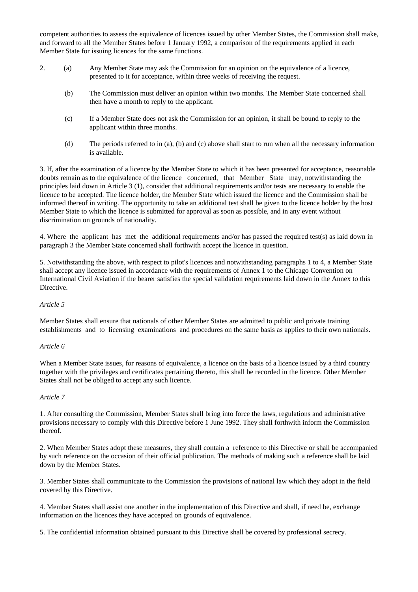competent authorities to assess the equivalence of licences issued by other Member States, the Commission shall make, and forward to all the Member States before 1 January 1992, a comparison of the requirements applied in each Member State for issuing licences for the same functions.

- 2. (a) Any Member State may ask the Commission for an opinion on the equivalence of a licence, presented to it for acceptance, within three weeks of receiving the request.
	- (b) The Commission must deliver an opinion within two months. The Member State concerned shall then have a month to reply to the applicant.
	- (c) If a Member State does not ask the Commission for an opinion, it shall be bound to reply to the applicant within three months.
	- (d) The periods referred to in (a), (b) and (c) above shall start to run when all the necessary information is available.

3. If, after the examination of a licence by the Member State to which it has been presented for acceptance, reasonable doubts remain as to the equivalence of the licence concerned, that Member State may, notwithstanding the principles laid down in Article 3 (1), consider that additional requirements and/or tests are necessary to enable the licence to be accepted. The licence holder, the Member State which issued the licence and the Commission shall be informed thereof in writing. The opportunity to take an additional test shall be given to the licence holder by the host Member State to which the licence is submitted for approval as soon as possible, and in any event without discrimination on grounds of nationality.

4. Where the applicant has met the additional requirements and/or has passed the required test(s) as laid down in paragraph 3 the Member State concerned shall forthwith accept the licence in question.

5. Notwithstanding the above, with respect to pilot's licences and notwithstanding paragraphs 1 to 4, a Member State shall accept any licence issued in accordance with the requirements of Annex 1 to the Chicago Convention on International Civil Aviation if the bearer satisfies the special validation requirements laid down in the Annex to this Directive.

### *Article 5*

Member States shall ensure that nationals of other Member States are admitted to public and private training establishments and to licensing examinations and procedures on the same basis as applies to their own nationals.

### *Article 6*

When a Member State issues, for reasons of equivalence, a licence on the basis of a licence issued by a third country together with the privileges and certificates pertaining thereto, this shall be recorded in the licence. Other Member States shall not be obliged to accept any such licence.

### *Article 7*

1. After consulting the Commission, Member States shall bring into force the laws, regulations and administrative provisions necessary to comply with this Directive before 1 June 1992. They shall forthwith inform the Commission thereof.

2. When Member States adopt these measures, they shall contain a reference to this Directive or shall be accompanied by such reference on the occasion of their official publication. The methods of making such a reference shall be laid down by the Member States.

3. Member States shall communicate to the Commission the provisions of national law which they adopt in the field covered by this Directive.

4. Member States shall assist one another in the implementation of this Directive and shall, if need be, exchange information on the licences they have accepted on grounds of equivalence.

5. The confidential information obtained pursuant to this Directive shall be covered by professional secrecy.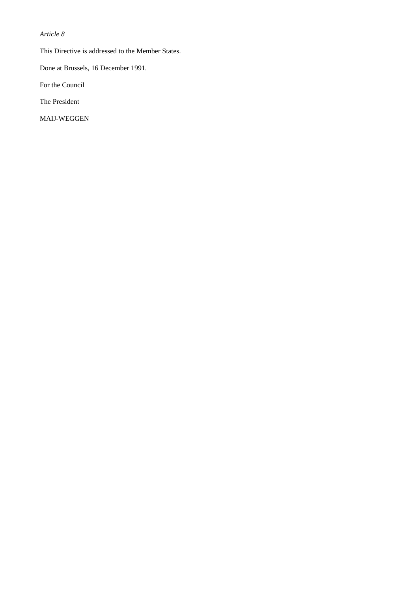# *Article 8*

This Directive is addressed to the Member States.

Done at Brussels, 16 December 1991.

For the Council

The President

MAIJ-WEGGEN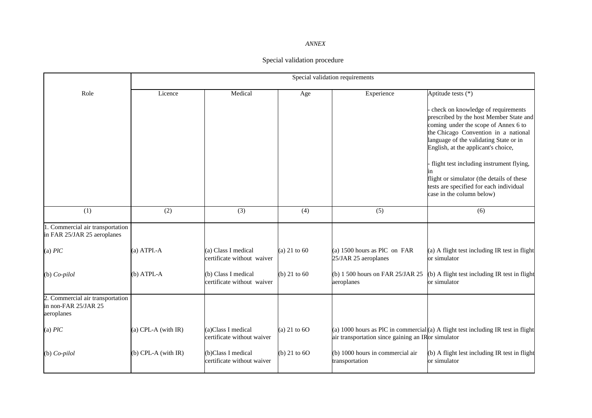# *ANNEX*

# Special validation procedure

|                                                                        | Special validation requirements |                                                   |                  |                                                      |                                                                                                                                                                                                                                                                                                                                                                                                                                       |  |
|------------------------------------------------------------------------|---------------------------------|---------------------------------------------------|------------------|------------------------------------------------------|---------------------------------------------------------------------------------------------------------------------------------------------------------------------------------------------------------------------------------------------------------------------------------------------------------------------------------------------------------------------------------------------------------------------------------------|--|
| Role                                                                   | Licence                         | Medical                                           | Age              | Experience                                           | Aptitude tests (*)<br>check on knowledge of requirements<br>prescribed by the host Member State and<br>coming under the scope of Annex 6 to<br>the Chicago Convention in a national<br>language of the validating State or in<br>English, at the applicant's choice,<br>flight test including instrument flying,<br>flight or simulator (the details of these<br>tests are specified for each individual<br>case in the column below) |  |
| (1)                                                                    | (2)                             | (3)                                               | (4)              | (5)                                                  | (6)                                                                                                                                                                                                                                                                                                                                                                                                                                   |  |
| 1. Commercial air transportation<br>in FAR 25/JAR 25 aeroplanes        |                                 |                                                   |                  |                                                      |                                                                                                                                                                                                                                                                                                                                                                                                                                       |  |
| (a) $PlC$                                                              | $(a)$ ATPI.-A                   | (a) Class I medical<br>certificate without waiver | (a) $21$ to $60$ | (a) 1500 hours as PIC on FAR<br>25/JAR 25 aeroplanes | (a) A flight test including IR test in flight<br>or simulator                                                                                                                                                                                                                                                                                                                                                                         |  |
| $(b) Co-pilol$                                                         | $(b)$ ATPL-A                    | (b) Class I medical<br>certificate without waiver | (b) $21$ to $60$ | (b) 1 500 hours on FAR 25/JAR 25<br>aeroplanes       | (b) A flight test including IR test in flight<br>or simulator                                                                                                                                                                                                                                                                                                                                                                         |  |
| 2. Commercial air transportation<br>in non-FAR 25/JAR 25<br>aeroplanes |                                 |                                                   |                  |                                                      |                                                                                                                                                                                                                                                                                                                                                                                                                                       |  |
| (a) $PlC$                                                              | (a) CPL-A (with IR)             | (a)Class I medical<br>certificate without waiver  | (a) 21 to $60$   | air transportation since gaining an IRor simulator   | (a) 1000 hours as PIC in commercial(a) A flight test including IR test in flight                                                                                                                                                                                                                                                                                                                                                      |  |
| $(b) Co-pilol$                                                         | $(b)$ CPL-A (with IR)           | (b)Class I medical<br>certificate without waiver  | (b) 21 to $60$   | (b) 1000 hours in commercial air<br>transportation   | (b) A flight lest including IR test in flight<br>or simulator                                                                                                                                                                                                                                                                                                                                                                         |  |